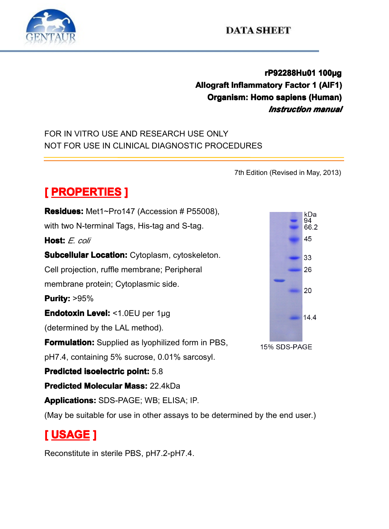

**rP92288Hu01 P92288Hu01 P92288Hu01 <sup>100</sup> 2288Hu01100µg Allograft Inflammatory Factor 1 (AIF1)**<br> **Allograft Inflammatory Factor 1 (AIF1)**<br> *Instruction manual***<br>
FOR IN VITRO USE AND RESEARCH USE ONLY Construment in the all of the Construction Construction manual**<br> **Instruction manual**<br>
E ONLY<br>
C PROCEDURES *Instruction Instruction manual*

FOR IN VITRO USE AND RESEARCH USE ONLY NOT FOR USE IN CLINICAL DIAGNOSTIC PROCEDURES<br>
MOT FOR USE IN CLINICAL DIAGNOSTIC PROCEDURES<br>
The Edition of PROPERTIES 1

7th Edition (Revised in May, 2013)<br>008),<br> $\frac{kDa}{4}$ 

**[ PROPERTIES** ]<br> **Residues:** Met1~Pro14<br>
with two N-terminal Tag<br> **Host:** *E. coli*<br> **Subcellular Location: Residues:** Met1~Pro147 (Accession # P55008),<br>with two N-terminal Tags, His-tag and S-tag.<br>**Host:** E. coli<br>**Subcellular Location:** Cytoplasm, cytoskeleton.<br>Cell projection, ruffle membrane; Peripheral with two N-terminal Tags, His-tag and S-tag.<br> **Host:** E. coli<br> **Subcellular Location:** Cytoplasm, cytoskel<br>
Cell projection, ruffle membrane; Peripheral **Host:** *E. coli*<br>**Subcellular**<br>Cell projectio<br>membrane production **Subcellular Location:** Cytoplasm, cytoskeleton.<br>Cell projection, ruffle membrane; Peripheral<br>membrane protein; Cytoplasmic side.<br>**Purity:** >95%<br>**Endotoxin Level:** <1.0EU per 1µg Cell projection, ruffle membrane; Peripheral<br>membrane protein; Cytoplasmic side.<br>**Purity:** >95%<br>**Endotoxin Level:** <1.0EU per 1µg membrane protein; Cytoplasmic side.<br> **Purity:** >95%<br> **Endotoxin Level:** <1.0EU per 1µg<br>
(determined by the LAL method). **Purity:**  $>95\%$ **Endotoxin Level:** <1.0EU per 1µg<br>(determined by the LAL method).<br>**Formulation:** Supplied as lyophiliz<br>pH7.4, containing 5% sucrose, 0.0 (determined by the LAL method).<br> **Formulation:** Supplied as lyophi<br>
pH7.4, containing 5% sucrose, 0<br> **Predicted isoelectric point:** 5.8 **Formulation:**Supplied as lyophilized form in PBS,<br>pH7.4, containing 5% sucrose, 0.01% sarcosyl.<br>**Predicted isoelectric point:** 5.8<br>**Predicted Molecular Mass:** 22.4kDa pH7.4, containing 5% sucrose, 0.01% sarcosyl.<br> **Predicted isoelectric point:** 5.8<br> **Predicted Molecular Mass:** 22.4kDa<br> **Applications:** SDS-PAGE; WB; ELISA; IP. **Predicted isoelectric point:** 5.8<br>**Predicted Molecular Mass:** 22.4<br>**Applications:** SDS-PAGE; WB;<br>(May be suitable for use in other) **Predicted Molecular Mass:** 22.4kDa<br>**Applications:** SDS-PAGE; WB; ELIS<br>(May be suitable for use in other assa **Applications:** SDS-PAGE; WB; ELISA; IP.<br>(May be suitable for use in other assays to<br>**[ USAGE ]**<br>Reconstitute in sterile PBS, pH7.2-pH7.4. (May be suitable for use in other assays to be determined by the end user.)<br>
[USAGE]<br>
Reconstitute in sterile PBS, pH7.2-pH7.4.

## **[ USAGE ]**

Reconstitute in sterile PBS, pH7.2-pH7.4.